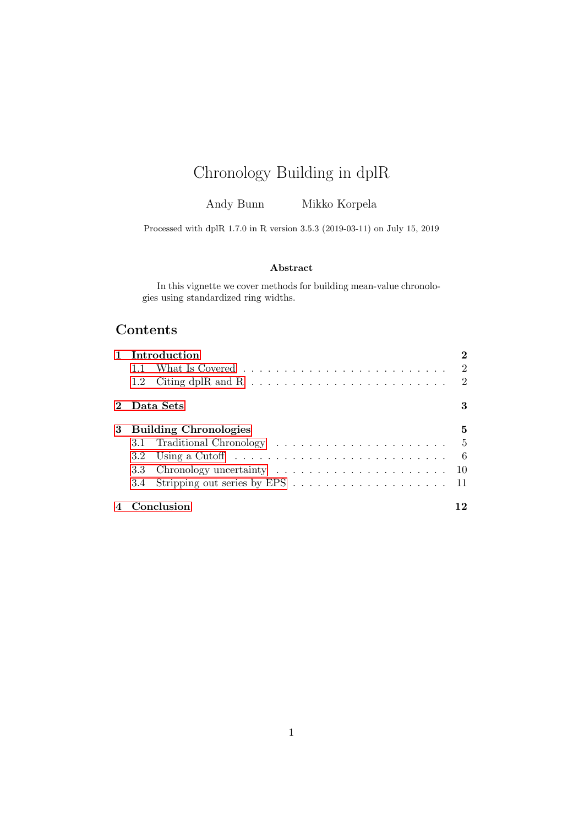# Chronology Building in dplR

Andy Bunn Mikko Korpela

Processed with dplR 1.7.0 in R version 3.5.3 (2019-03-11) on July 15, 2019

#### Abstract

In this vignette we cover methods for building mean-value chronologies using standardized ring widths.

# Contents

|   |     | Introduction                                                                                 |                             |
|---|-----|----------------------------------------------------------------------------------------------|-----------------------------|
|   | 1.1 |                                                                                              | $\overline{2}$              |
|   |     |                                                                                              | $\mathcal{D}_{\mathcal{L}}$ |
|   |     | Data Sets                                                                                    | 3                           |
| 3 |     | <b>Building Chronologies</b>                                                                 | 5                           |
|   |     |                                                                                              |                             |
|   |     | 3.2 Using a Cutoff $\ldots \ldots \ldots \ldots \ldots \ldots \ldots \ldots \ldots \ldots 6$ |                             |
|   |     |                                                                                              |                             |
|   |     |                                                                                              |                             |
|   |     | Conclusion                                                                                   |                             |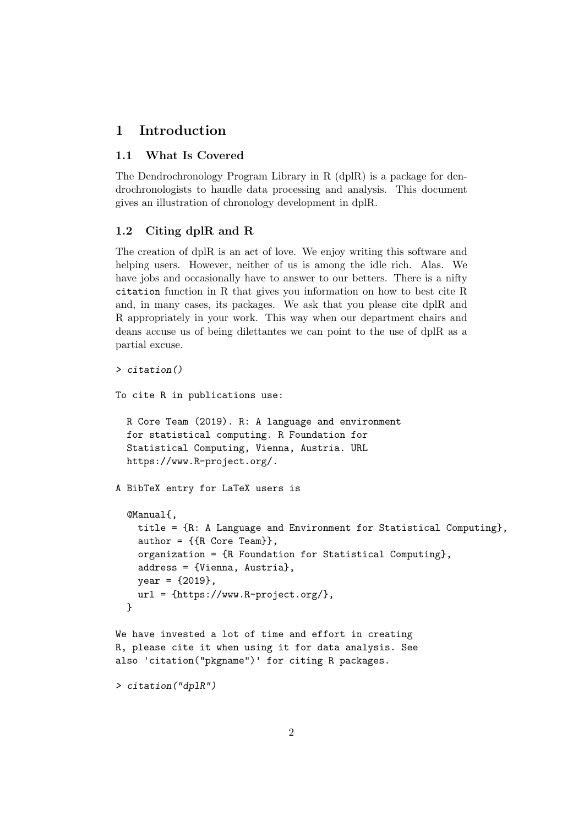## <span id="page-1-0"></span>1 Introduction

#### <span id="page-1-1"></span>1.1 What Is Covered

The Dendrochronology Program Library in R (dplR) is a package for dendrochronologists to handle data processing and analysis. This document gives an illustration of chronology development in dplR.

## <span id="page-1-2"></span>1.2 Citing dplR and R

The creation of dplR is an act of love. We enjoy writing this software and helping users. However, neither of us is among the idle rich. Alas. We have jobs and occasionally have to answer to our betters. There is a nifty citation function in R that gives you information on how to best cite R and, in many cases, its packages. We ask that you please cite dplR and R appropriately in your work. This way when our department chairs and deans accuse us of being dilettantes we can point to the use of dplR as a partial excuse.

```
> citation()
```

```
To cite R in publications use:
```

```
R Core Team (2019). R: A language and environment
for statistical computing. R Foundation for
Statistical Computing, Vienna, Austria. URL
https://www.R-project.org/.
```
A BibTeX entry for LaTeX users is

```
@Manual{,
  title = {R: A Language and Environment for Statistical Computing},
  author = \{R \text{ Core Team}\},\organization = {R Foundation for Statistical Computing},
  address = {Vienna, Austria},
  year = {2019},
  url = \{https://www.R-project.org/\},\}
```

```
We have invested a lot of time and effort in creating
R, please cite it when using it for data analysis. See
also 'citation("pkgname")' for citing R packages.
```

```
> citation("dplR")
```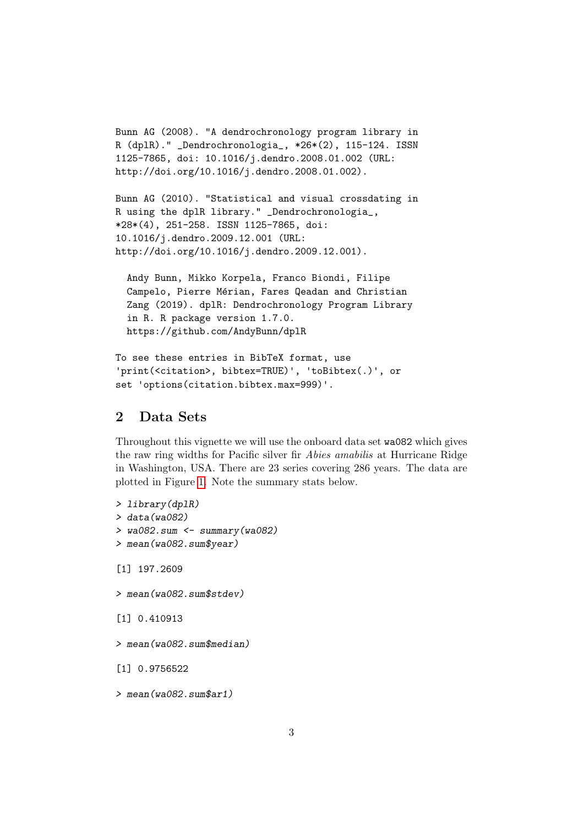```
Bunn AG (2008). "A dendrochronology program library in
R (dplR)." _Dendrochronologia_, *26*(2), 115-124. ISSN
1125-7865, doi: 10.1016/j.dendro.2008.01.002 (URL:
http://doi.org/10.1016/j.dendro.2008.01.002).
```

```
Bunn AG (2010). "Statistical and visual crossdating in
R using the dplR library." _Dendrochronologia_,
*28*(4), 251-258. ISSN 1125-7865, doi:
10.1016/j.dendro.2009.12.001 (URL:
http://doi.org/10.1016/j.dendro.2009.12.001).
```
Andy Bunn, Mikko Korpela, Franco Biondi, Filipe Campelo, Pierre Mérian, Fares Qeadan and Christian Zang (2019). dplR: Dendrochronology Program Library in R. R package version 1.7.0. https://github.com/AndyBunn/dplR

```
To see these entries in BibTeX format, use
'print(<citation>, bibtex=TRUE)', 'toBibtex(.)', or
set 'options(citation.bibtex.max=999)'.
```
## <span id="page-2-0"></span>2 Data Sets

Throughout this vignette we will use the onboard data set wa082 which gives the raw ring widths for Pacific silver fir Abies amabilis at Hurricane Ridge in Washington, USA. There are 23 series covering 286 years. The data are plotted in Figure [1.](#page-3-0) Note the summary stats below.

```
> library(dplR)
> data(wa082)
> wa082.sum <- summary(wa082)
> mean(wa082.sum$year)
[1] 197.2609
> mean(wa082.sum$stdev)
[1] 0.410913
> mean(wa082.sum$median)
[1] 0.9756522
> mean(wa082.sum$ar1)
```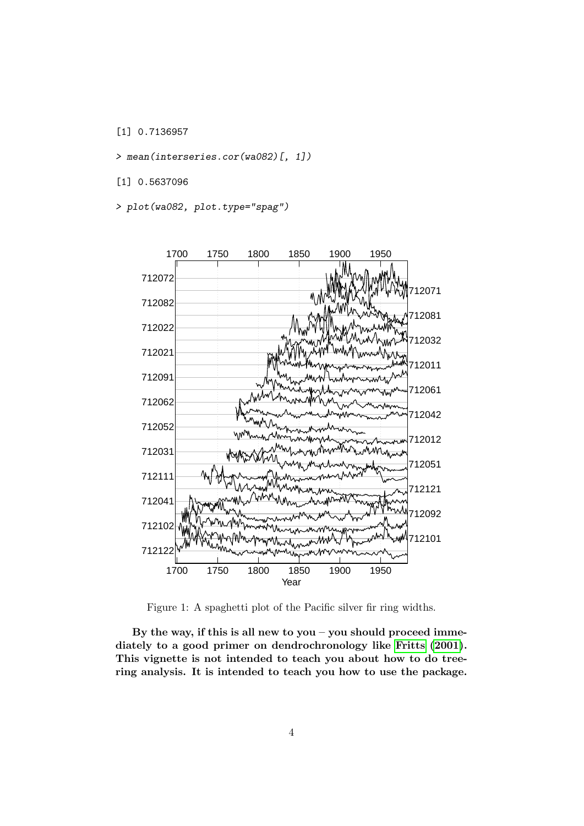[1] 0.7136957

> mean(interseries.cor(wa082)[, 1])

[1] 0.5637096

> plot(wa082, plot.type="spag")



<span id="page-3-0"></span>Figure 1: A spaghetti plot of the Pacific silver fir ring widths.

By the way, if this is all new to you – you should proceed immediately to a good primer on dendrochronology like [Fritts](#page-12-0) [\(2001\)](#page-12-0). This vignette is not intended to teach you about how to do treering analysis. It is intended to teach you how to use the package.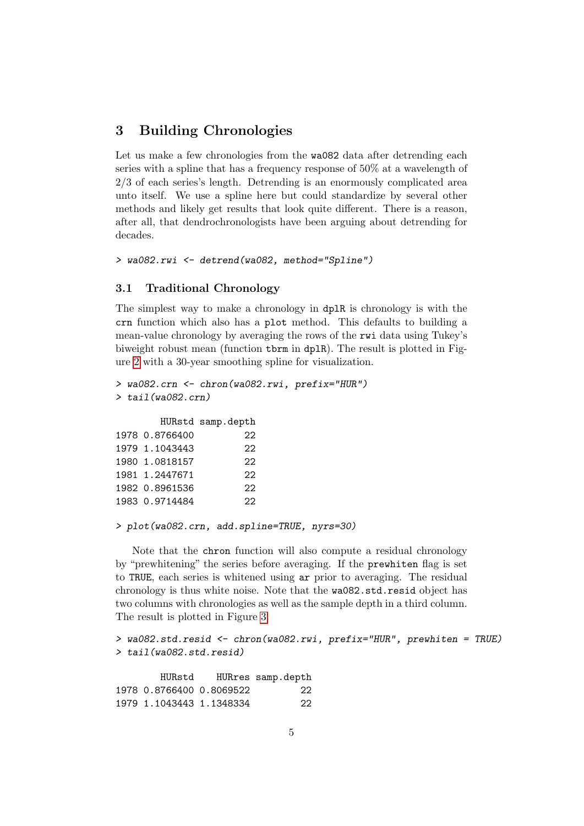## <span id="page-4-0"></span>3 Building Chronologies

Let us make a few chronologies from the wa082 data after detrending each series with a spline that has a frequency response of 50% at a wavelength of 2/3 of each series's length. Detrending is an enormously complicated area unto itself. We use a spline here but could standardize by several other methods and likely get results that look quite different. There is a reason, after all, that dendrochronologists have been arguing about detrending for decades.

```
> wa082.rwi <- detrend(wa082, method="Spline")
```
#### <span id="page-4-1"></span>3.1 Traditional Chronology

The simplest way to make a chronology in dplR is chronology is with the crn function which also has a plot method. This defaults to building a mean-value chronology by averaging the rows of the rwi data using Tukey's biweight robust mean (function tbrm in dplR). The result is plotted in Figure [2](#page-5-1) with a 30-year smoothing spline for visualization.

```
> wa082.crn <- chron(wa082.rwi, prefix="HUR")
> tail(wa082.crn)
```
HURstd samp.depth

| 1978 0.8766400 | 22 |
|----------------|----|
| 1979 1.1043443 | 22 |
| 1980 1.0818157 | 22 |
| 1981 1.2447671 | 22 |
| 1982 0.8961536 | 22 |
| 1983 0.9714484 | 22 |

```
> plot(wa082.crn, add.spline=TRUE, nyrs=30)
```
Note that the chron function will also compute a residual chronology by "prewhitening" the series before averaging. If the prewhiten flag is set to TRUE, each series is whitened using ar prior to averaging. The residual chronology is thus white noise. Note that the wa082.std.resid object has two columns with chronologies as well as the sample depth in a third column. The result is plotted in Figure [3.](#page-6-0)

```
> wa082.std.resid <- chron(wa082.rwi, prefix="HUR", prewhiten = TRUE)
> tail(wa082.std.resid)
```

| HURstd                   | HURres samp.depth |
|--------------------------|-------------------|
| 1978 0.8766400 0.8069522 | 22                |
| 1979 1.1043443 1.1348334 | 22                |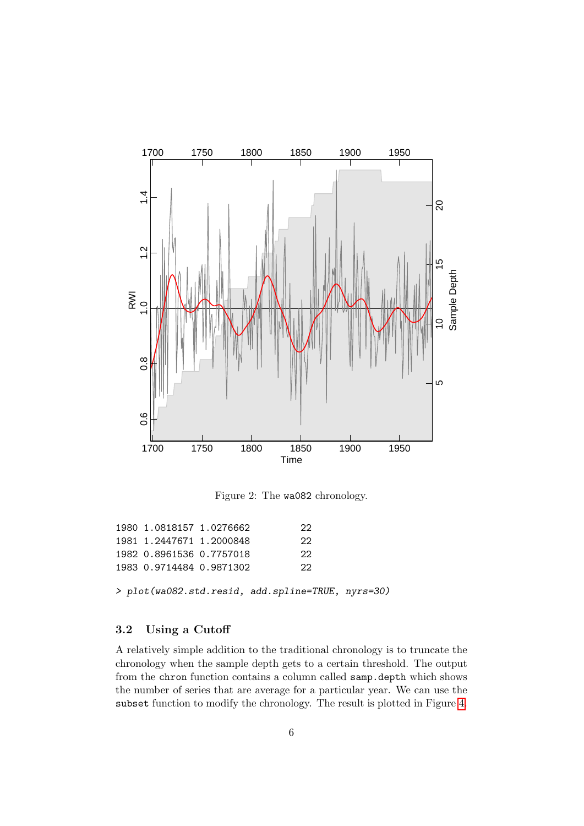

<span id="page-5-1"></span>Figure 2: The wa082 chronology.

| 1980 1.0818157 1.0276662 | 22. |
|--------------------------|-----|
| 1981 1.2447671 1.2000848 | 22  |
| 1982 0.8961536 0.7757018 | つつ  |
| 1983 0.9714484 0.9871302 | 22. |

> plot(wa082.std.resid, add.spline=TRUE, nyrs=30)

## <span id="page-5-0"></span>3.2 Using a Cutoff

A relatively simple addition to the traditional chronology is to truncate the chronology when the sample depth gets to a certain threshold. The output from the chron function contains a column called samp.depth which shows the number of series that are average for a particular year. We can use the subset function to modify the chronology. The result is plotted in Figure [4.](#page-7-0)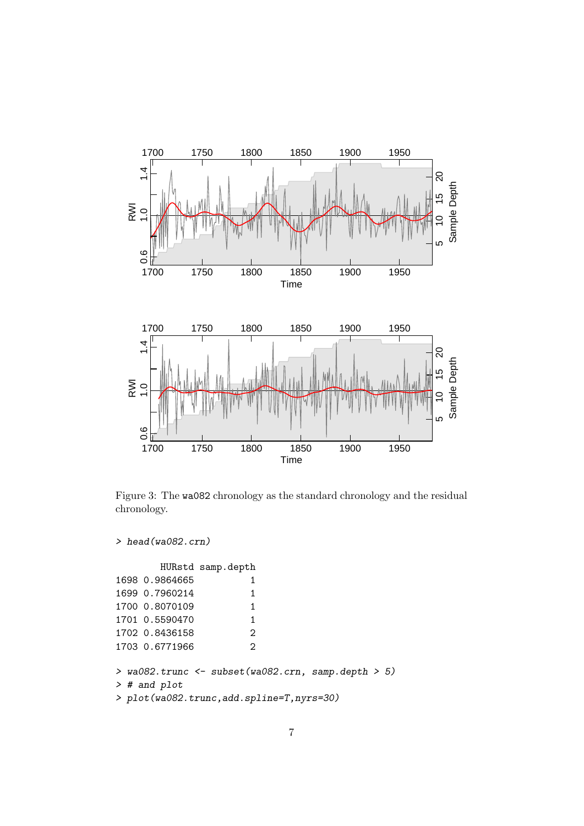

<span id="page-6-0"></span>Figure 3: The wa082 chronology as the standard chronology and the residual chronology.

```
> head(wa082.crn)
```

|                | HURstd samp.depth |
|----------------|-------------------|
| 1698 0.9864665 | 1.                |
| 1699 0.7960214 | 1.                |
| 1700 0.8070109 | 1                 |
| 1701 0.5590470 | 1                 |
| 1702 0.8436158 | 2                 |
| 1703 0.6771966 | っ                 |

```
> wa082.trunc <- subset(wa082.crn, samp.depth > 5)
> # and plot
```

```
> plot(wa082.trunc,add.spline=T,nyrs=30)
```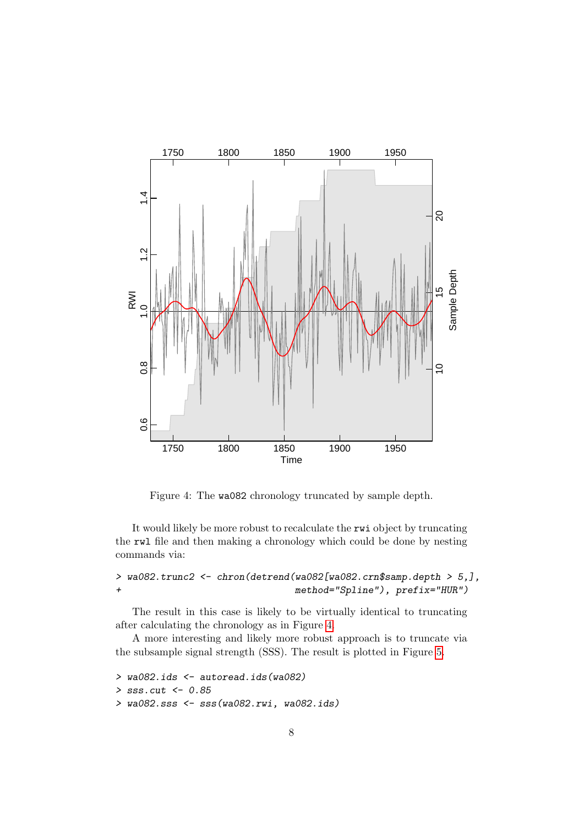

<span id="page-7-0"></span>Figure 4: The wa082 chronology truncated by sample depth.

It would likely be more robust to recalculate the rwi object by truncating the rwl file and then making a chronology which could be done by nesting commands via:

> wa082.trunc2 <- chron(detrend(wa082[wa082.crn\$samp.depth > 5,], + method="Spline"), prefix="HUR")

The result in this case is likely to be virtually identical to truncating after calculating the chronology as in Figure [4.](#page-7-0)

A more interesting and likely more robust approach is to truncate via the subsample signal strength (SSS). The result is plotted in Figure [5.](#page-9-1)

```
> wa082.ids <- autoread.ids(wa082)
> sss.cut <- 0.85
> wa082.sss <- sss(wa082.rwi, wa082.ids)
```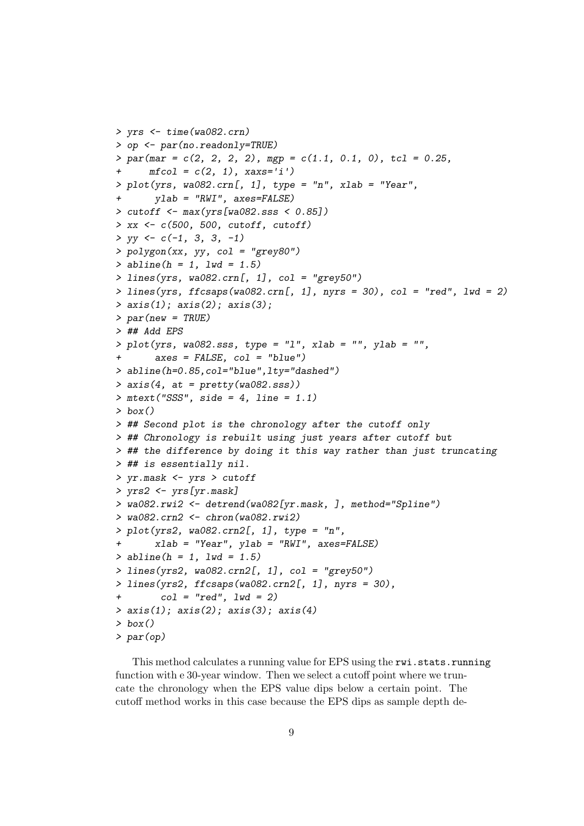```
> yrs <- time(wa082.crn)
> op <- par(no.readonly=TRUE)
> par(max = c(2, 2, 2, 2), mgp = c(1.1, 0.1, 0), tcl = 0.25,mfcol = c(2, 1), xars='i')> plot(yrs, wa082.crn[, 1], type = "n", xlab = "Year",
+ ylab = "RWI", axes=FALSE)
> cutoff <- max(yrs[wa082.sss < 0.85])
> xx < -c(500, 500, cutoff, cutoff)> yy \leftarrow c(-1, 3, 3, -1)> polygon(xx, yy, col = "grey80")
> abline(h = 1, lwd = 1.5)
> lines(yrs, wa082.crn[, 1], col = "grey50")
> lines(yrs, ffcsaps(wa082.crn[, 1], nyrs = 30), col = "red", lwd = 2)
> axis(1); axis(2); axis(3);> par(new = TRUE)> ## Add EPS
> plot(yrs, wa082. sss, type = "l", xlab = "", ylab = "",axes = FALSE, col = "blue")> abline(h=0.85,col="blue",lty="dashed")
> axis(4, at = pretty(wa082.sss))
> mtext("SSS", side = 4, line = 1.1)
> box()
> ## Second plot is the chronology after the cutoff only
> ## Chronology is rebuilt using just years after cutoff but
> ## the difference by doing it this way rather than just truncating
> ## is essentially nil.
> yr.mask <- yrs > cutoff
> yrs2 <- yrs[yr.mask]
> wa082.rwi2 <- detrend(wa082[yr.mask, ], method="Spline")
> wa082.crn2 <- chron(wa082.rwi2)
> plot(yrs2, wa082.crn2[, 1], type = "n",xlab = "Year", ylab = "RWI", axes=FALSE)> abline(h = 1, lwd = 1.5)
> lines(yrs2, wa082.crn2[, 1], col = "grey50")
> lines(yrs2, ffcsaps(wa082.crn2[, 1], nyrs = 30),
+ col = "red", \text{ } lwd = 2)> axis(1); axis(2); axis(3); axis(4)> box()> par(op)
```
This method calculates a running value for EPS using the rwi.stats.running function with e 30-year window. Then we select a cutoff point where we truncate the chronology when the EPS value dips below a certain point. The cutoff method works in this case because the EPS dips as sample depth de-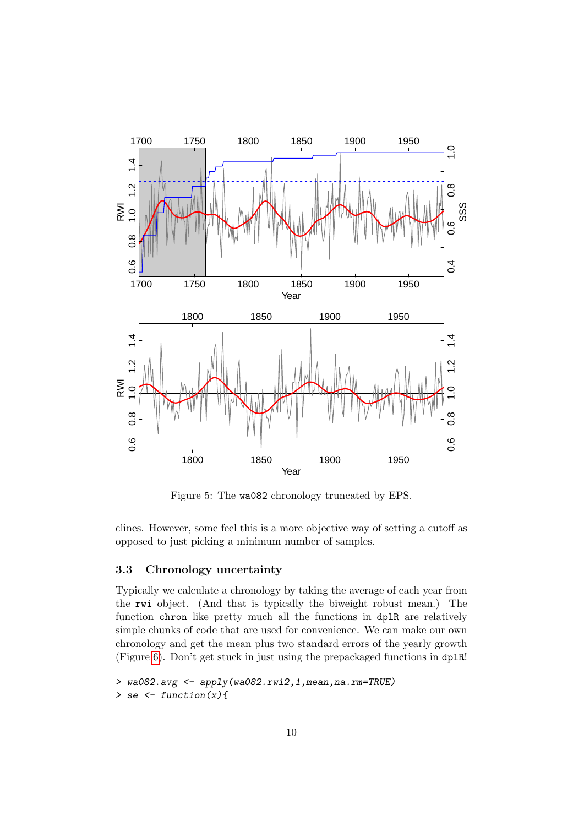

<span id="page-9-1"></span>Figure 5: The wa082 chronology truncated by EPS.

clines. However, some feel this is a more objective way of setting a cutoff as opposed to just picking a minimum number of samples.

## <span id="page-9-0"></span>3.3 Chronology uncertainty

Typically we calculate a chronology by taking the average of each year from the rwi object. (And that is typically the biweight robust mean.) The function chron like pretty much all the functions in dplR are relatively simple chunks of code that are used for convenience. We can make our own chronology and get the mean plus two standard errors of the yearly growth (Figure [6\)](#page-11-1). Don't get stuck in just using the prepackaged functions in dplR!

```
> wa082.avg <- apply(wa082.rwi2,1,mean,na.rm=TRUE)
> se \le function(x){
```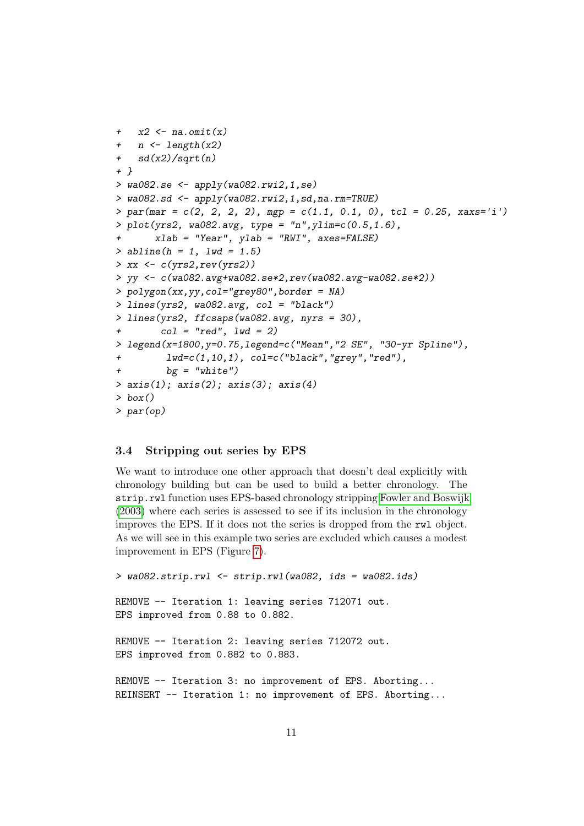```
+ x2 \leftarrow na.omit(x)+ n \leftarrow length(x2)+ sd(x2)/sqrt(n)+ }
> wa082.se <- apply(wa082.rwi2,1,se)
> wa082.sd <- apply(wa082.rwi2,1,sd,na.rm=TRUE)
> par(mar = c(2, 2, 2, 2), mgp = c(1.1, 0.1, 0), tcl = 0.25, xaxs='i')
> plot(yrs2, wa082.argv, type = "n", ylim=c(0.5, 1.6),+ xlab = "Year", ylab = "RWI", axes=FALSE)
> abline(h = 1, lwd = 1.5)
> xx < -c(yrs2, rev(yrs2))> yy <- c(wa082.avg+wa082.se*2,rev(wa082.avg-wa082.se*2))
> polygon(xx,yy,col="grey80",border = NA)
> lines(yrs2, wa082.avg, col = "black")
> lines(yrs2, ffcsaps(wa082.avg, nyrs = 30),
+ col = "red", lwd = 2)
> legend(x=1800,y=0.75,legend=c("Mean","2 SE", "30-yr Spline"),
         1wd=c(1,10,1), col=c("black","grey","red"),
         bg = "white")> axis(1); axis(2); axis(3); axis(4)> box()> par(op)
```
#### <span id="page-10-0"></span>3.4 Stripping out series by EPS

We want to introduce one other approach that doesn't deal explicitly with chronology building but can be used to build a better chronology. The strip.rwl function uses EPS-based chronology stripping [Fowler and Boswijk](#page-12-1) [\(2003\)](#page-12-1) where each series is assessed to see if its inclusion in the chronology improves the EPS. If it does not the series is dropped from the rwl object. As we will see in this example two series are excluded which causes a modest improvement in EPS (Figure [7\)](#page-12-2).

```
> wa082.strip.rwl <- strip.rwl(wa082, ids = wa082.ids)
REMOVE -- Iteration 1: leaving series 712071 out.
EPS improved from 0.88 to 0.882.
REMOVE -- Iteration 2: leaving series 712072 out.
EPS improved from 0.882 to 0.883.
REMOVE -- Iteration 3: no improvement of EPS. Aborting...
REINSERT -- Iteration 1: no improvement of EPS. Aborting...
```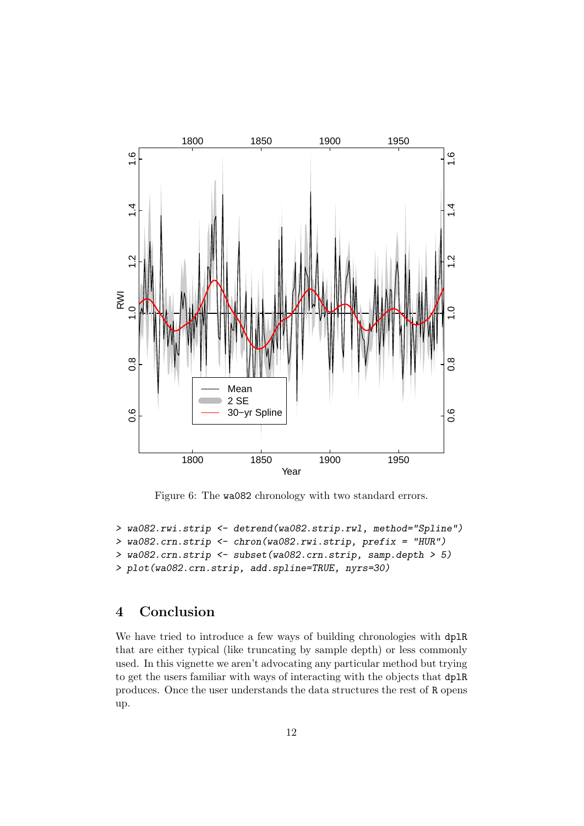

<span id="page-11-1"></span>Figure 6: The wa082 chronology with two standard errors.

```
> wa082.rwi.strip <- detrend(wa082.strip.rwl, method="Spline")
> wa082.crn.strip <- chron(wa082.rwi.strip, prefix = "HUR")
> wa082.crn.strip <- subset(wa082.crn.strip, samp.depth > 5)
> plot(wa082.crn.strip, add.spline=TRUE, nyrs=30)
```
## <span id="page-11-0"></span>4 Conclusion

We have tried to introduce a few ways of building chronologies with dplR that are either typical (like truncating by sample depth) or less commonly used. In this vignette we aren't advocating any particular method but trying to get the users familiar with ways of interacting with the objects that dplR produces. Once the user understands the data structures the rest of R opens up.